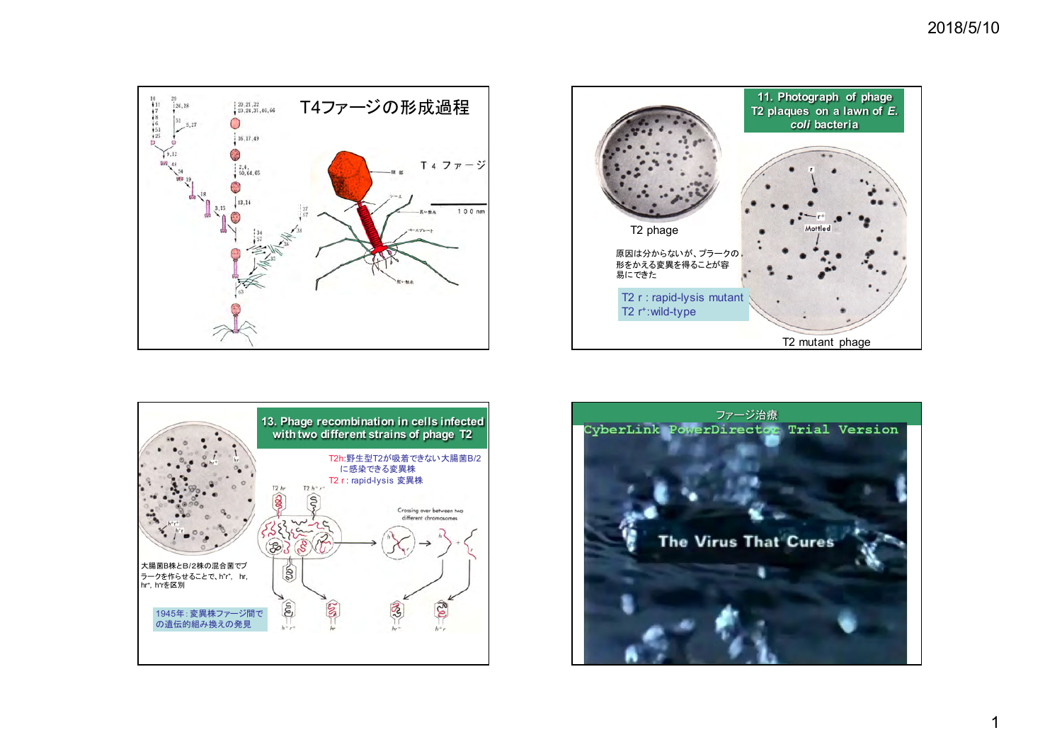





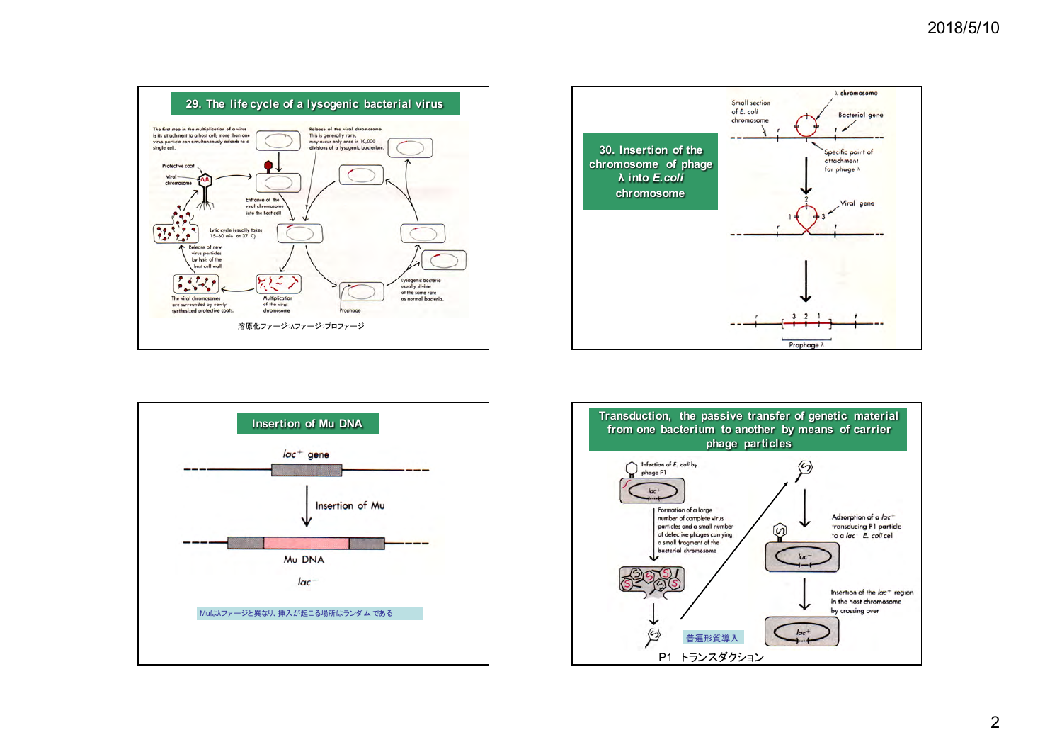





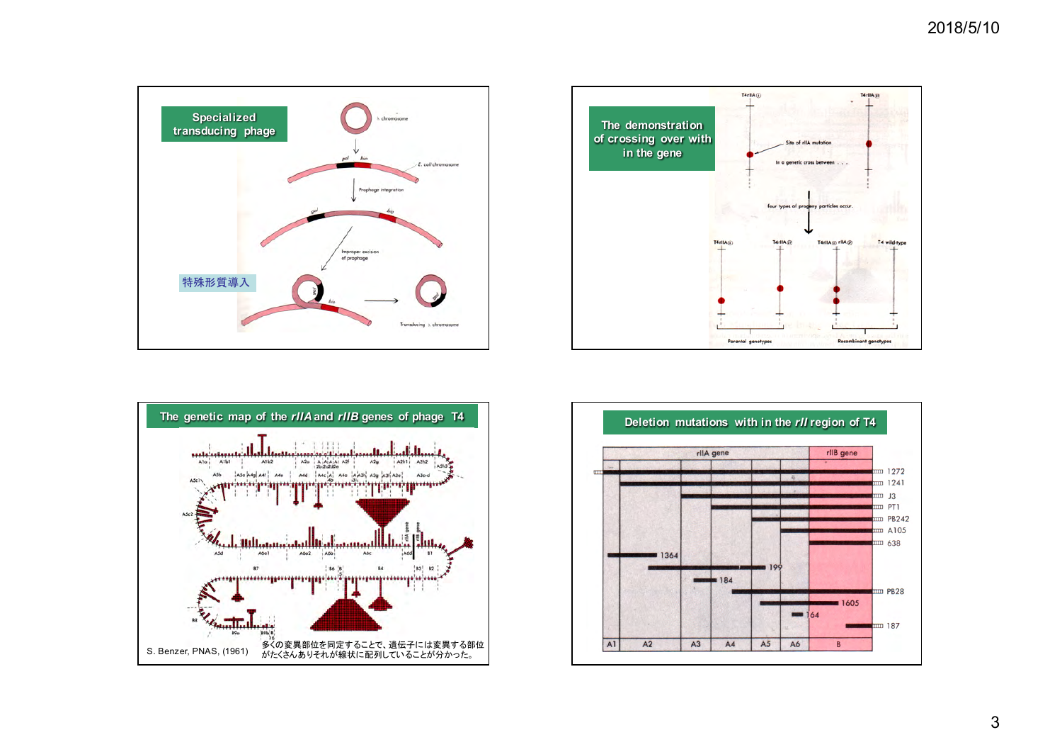





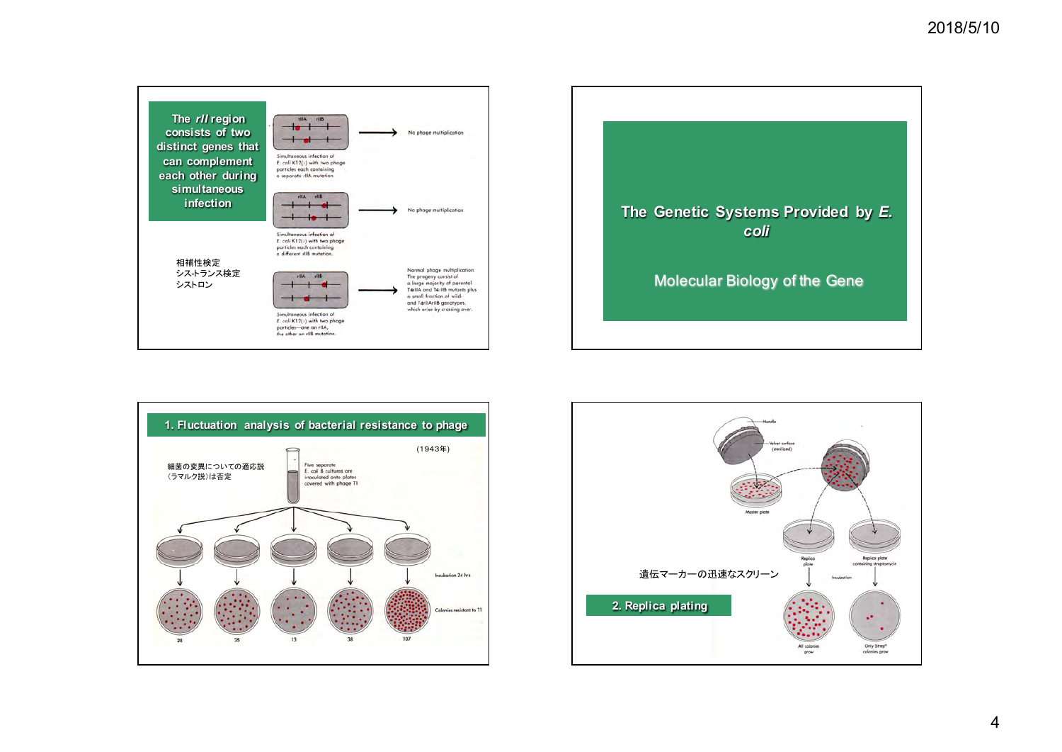





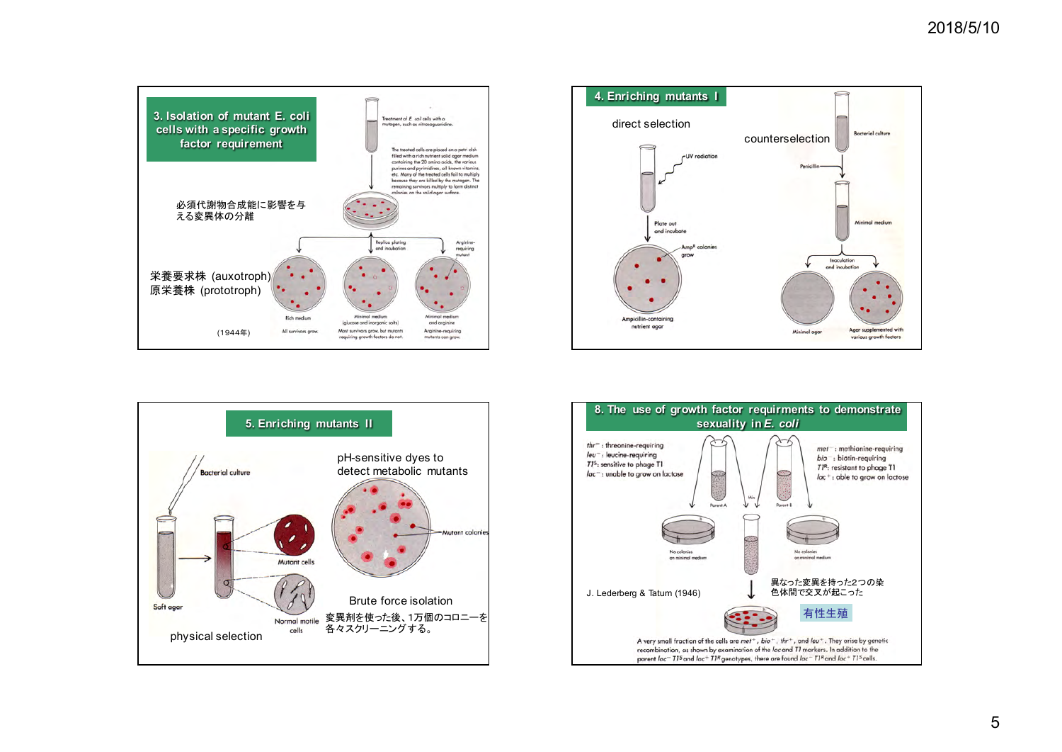





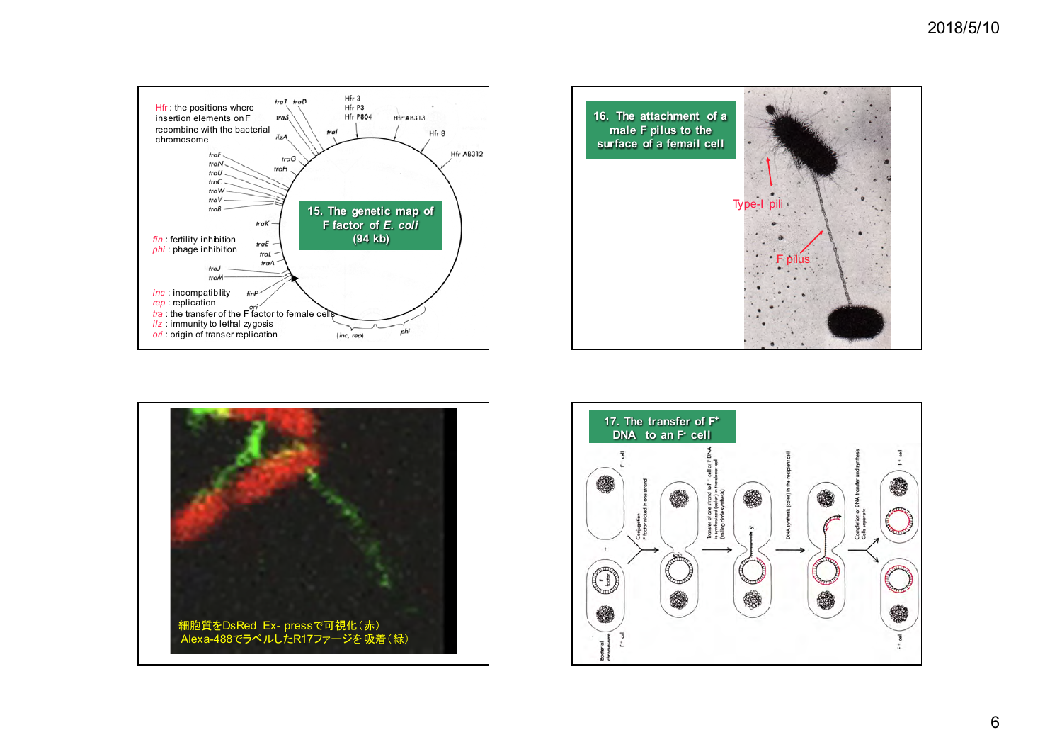